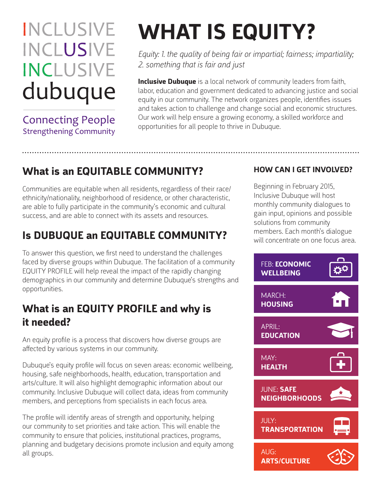## **INCLUSIVE INCLUSIVE INCLUSIVE** dubuque

**Connecting People Strengthening Community** 

# **WHAT IS EQUITY?**

*Equity: 1. the quality of being fair or impartial; fairness; impartiality; 2. something that is fair and just*

**Inclusive Dubuque** is a local network of community leaders from faith, labor, education and government dedicated to advancing justice and social equity in our community. The network organizes people, identifies issues and takes action to challenge and change social and economic structures. Our work will help ensure a growing economy, a skilled workforce and opportunities for all people to thrive in Dubuque.

## **What is an EQUITABLE COMMUNITY?**

Communities are equitable when all residents, regardless of their race/ ethnicity/nationality, neighborhood of residence, or other characteristic, are able to fully participate in the community's economic and cultural success, and are able to connect with its assets and resources.

## **Is DUBUQUE an EQUITABLE COMMUNITY?**

To answer this question, we first need to understand the challenges faced by diverse groups within Dubuque. The facilitation of a community EQUITY PROFILE will help reveal the impact of the rapidly changing demographics in our community and determine Dubuque's strengths and opportunities.

### **What is an EQUITY PROFILE and why is it needed?**

An equity profile is a process that discovers how diverse groups are affected by various systems in our community.

Dubuque's equity profile will focus on seven areas: economic wellbeing, housing, safe neighborhoods, health, education, transportation and arts/culture. It will also highlight demographic information about our community. Inclusive Dubuque will collect data, ideas from community members, and perceptions from specialists in each focus area.

The profile will identify areas of strength and opportunity, helping our community to set priorities and take action. This will enable the community to ensure that policies, institutional practices, programs, planning and budgetary decisions promote inclusion and equity among all groups.

#### **HOW CAN I GET INVOLVED?**

Beginning in February 2015, Inclusive Dubuque will host monthly community dialogues to gain input, opinions and possible solutions from community members. Each month's dialogue will concentrate on one focus area.